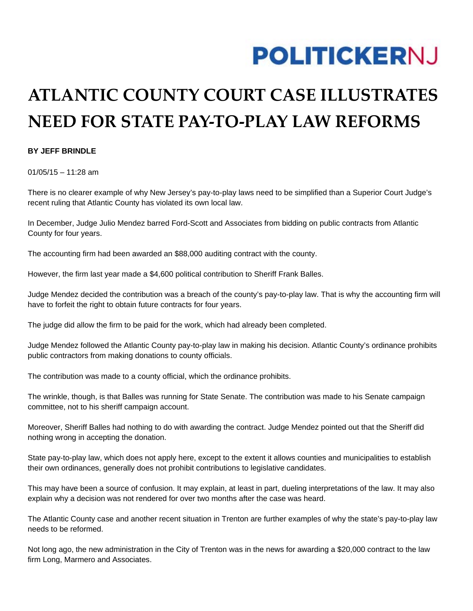## **POLITICKERNJ**

## **ATLANTIC COUNTY COURT CASE ILLUSTRATES NEED FOR STATE PAY-TO-PLAY LAW REFORMS**

## **BY JEFF BRINDLE**

 $01/05/15 - 11:28$  am

There is no clearer example of why New Jersey's pay-to-play laws need to be simplified than a Superior Court Judge's recent ruling that Atlantic County has violated its own local law.

In December, Judge Julio Mendez barred Ford-Scott and Associates from bidding on public contracts from Atlantic County for four years.

The accounting firm had been awarded an \$88,000 auditing contract with the county.

However, the firm last year made a \$4,600 political contribution to Sheriff Frank Balles.

Judge Mendez decided the contribution was a breach of the county's pay-to-play law. That is why the accounting firm will have to forfeit the right to obtain future contracts for four years.

The judge did allow the firm to be paid for the work, which had already been completed.

Judge Mendez followed the Atlantic County pay-to-play law in making his decision. Atlantic County's ordinance prohibits public contractors from making donations to county officials.

The contribution was made to a county official, which the ordinance prohibits.

The wrinkle, though, is that Balles was running for State Senate. The contribution was made to his Senate campaign committee, not to his sheriff campaign account.

Moreover, Sheriff Balles had nothing to do with awarding the contract. Judge Mendez pointed out that the Sheriff did nothing wrong in accepting the donation.

State pay-to-play law, which does not apply here, except to the extent it allows counties and municipalities to establish their own ordinances, generally does not prohibit contributions to legislative candidates.

This may have been a source of confusion. It may explain, at least in part, dueling interpretations of the law. It may also explain why a decision was not rendered for over two months after the case was heard.

The Atlantic County case and another recent situation in Trenton are further examples of why the state's pay-to-play law needs to be reformed.

Not long ago, the new administration in the City of Trenton was in the news for awarding a \$20,000 contract to the law firm Long, Marmero and Associates.